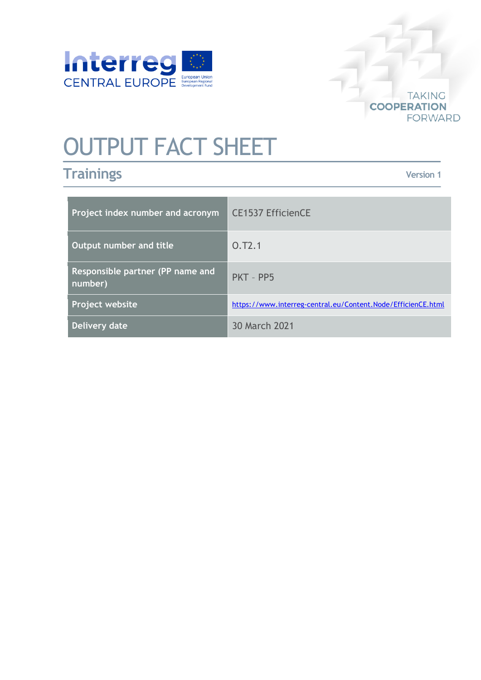



## OUTPUT FACT SHEET

## **Trainings**

**Version 1**

| Project index number and acronym            | <b>CE1537 EfficienCE</b>                                     |
|---------------------------------------------|--------------------------------------------------------------|
| Output number and title                     | 0.72.1                                                       |
| Responsible partner (PP name and<br>number) | PKT - PP5                                                    |
| Project website                             | https://www.interreg-central.eu/Content.Node/EfficienCE.html |
| Delivery date                               | 30 March 2021                                                |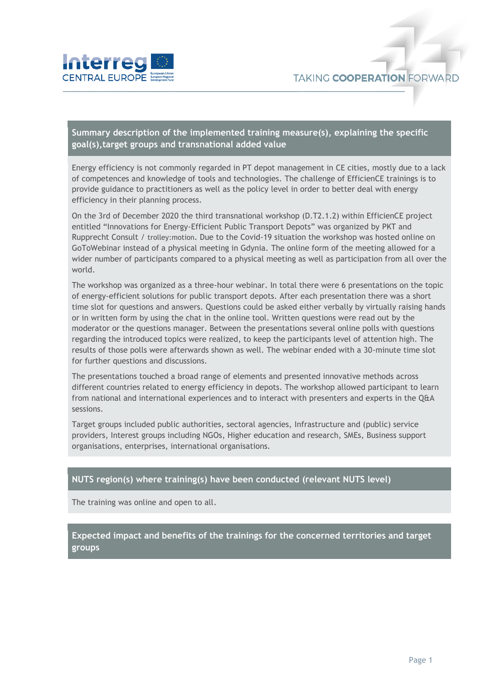

**Summary description of the implemented training measure(s), explaining the specific goal(s),target groups and transnational added value**

Energy efficiency is not commonly regarded in PT depot management in CE cities, mostly due to a lack of competences and knowledge of tools and technologies. The challenge of EfficienCE trainings is to provide guidance to practitioners as well as the policy level in order to better deal with energy efficiency in their planning process.

On the 3rd of December 2020 the third transnational workshop (D.T2.1.2) within EfficienCE project entitled "Innovations for Energy-Efficient Public Transport Depots" was organized by PKT and Rupprecht Consult / trolley:motion. Due to the Covid-19 situation the workshop was hosted online on GoToWebinar instead of a physical meeting in Gdynia. The online form of the meeting allowed for a wider number of participants compared to a physical meeting as well as participation from all over the world.

The workshop was organized as a three-hour webinar. In total there were 6 presentations on the topic of energy-efficient solutions for public transport depots. After each presentation there was a short time slot for questions and answers. Questions could be asked either verbally by virtually raising hands or in written form by using the chat in the online tool. Written questions were read out by the moderator or the questions manager. Between the presentations several online polls with questions regarding the introduced topics were realized, to keep the participants level of attention high. The results of those polls were afterwards shown as well. The webinar ended with a 30-minute time slot for further questions and discussions.

The presentations touched a broad range of elements and presented innovative methods across different countries related to energy efficiency in depots. The workshop allowed participant to learn from national and international experiences and to interact with presenters and experts in the Q&A sessions.

Target groups included public authorities, sectoral agencies, Infrastructure and (public) service providers, Interest groups including NGOs, Higher education and research, SMEs, Business support organisations, enterprises, international organisations.

## **NUTS region(s) where training(s) have been conducted (relevant NUTS level)**

The training was online and open to all.

**Expected impact and benefits of the trainings for the concerned territories and target groups**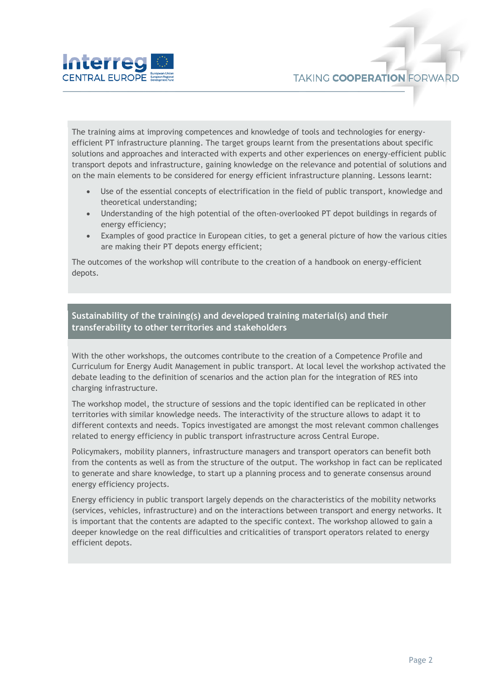



The training aims at improving competences and knowledge of tools and technologies for energyefficient PT infrastructure planning. The target groups learnt from the presentations about specific solutions and approaches and interacted with experts and other experiences on energy-efficient public transport depots and infrastructure, gaining knowledge on the relevance and potential of solutions and on the main elements to be considered for energy efficient infrastructure planning. Lessons learnt:

- Use of the essential concepts of electrification in the field of public transport, knowledge and theoretical understanding;
- Understanding of the high potential of the often-overlooked PT depot buildings in regards of energy efficiency;
- Examples of good practice in European cities, to get a general picture of how the various cities are making their PT depots energy efficient;

The outcomes of the workshop will contribute to the creation of a handbook on energy-efficient depots.

## **Sustainability of the training(s) and developed training material(s) and their transferability to other territories and stakeholders**

With the other workshops, the outcomes contribute to the creation of a Competence Profile and Curriculum for Energy Audit Management in public transport. At local level the workshop activated the debate leading to the definition of scenarios and the action plan for the integration of RES into charging infrastructure.

The workshop model, the structure of sessions and the topic identified can be replicated in other territories with similar knowledge needs. The interactivity of the structure allows to adapt it to different contexts and needs. Topics investigated are amongst the most relevant common challenges related to energy efficiency in public transport infrastructure across Central Europe.

Policymakers, mobility planners, infrastructure managers and transport operators can benefit both from the contents as well as from the structure of the output. The workshop in fact can be replicated to generate and share knowledge, to start up a planning process and to generate consensus around energy efficiency projects.

Energy efficiency in public transport largely depends on the characteristics of the mobility networks (services, vehicles, infrastructure) and on the interactions between transport and energy networks. It is important that the contents are adapted to the specific context. The workshop allowed to gain a deeper knowledge on the real difficulties and criticalities of transport operators related to energy efficient depots.